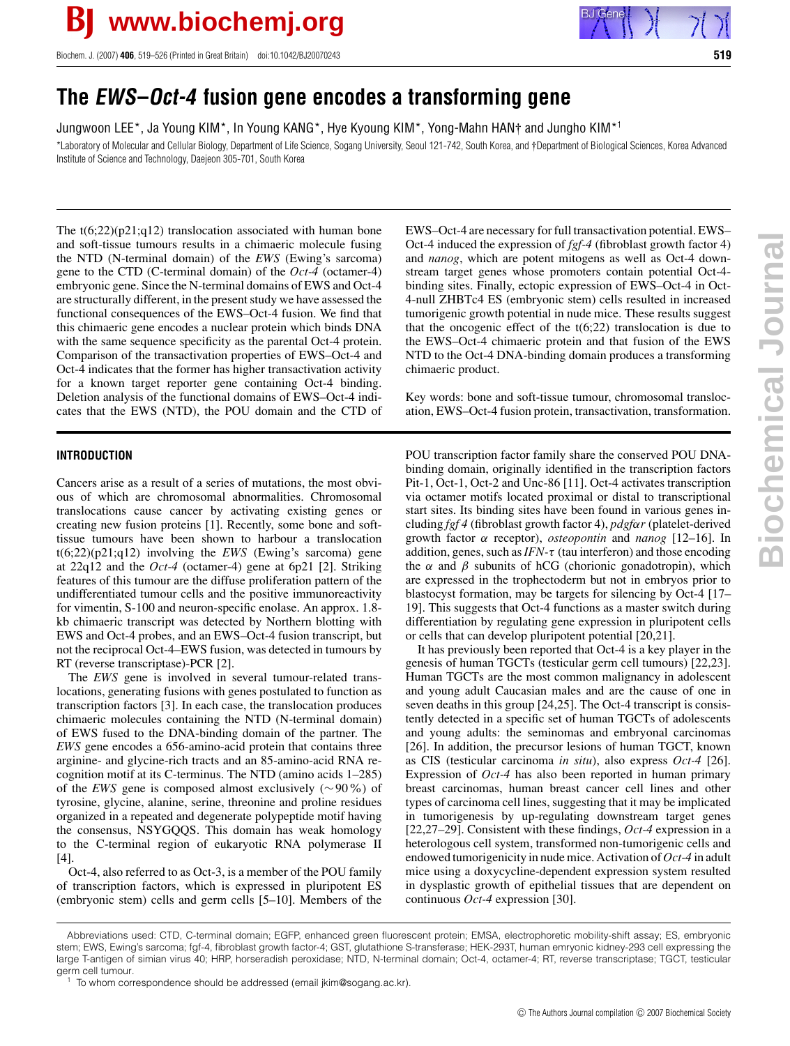

Biochem. J. (2007) **406**, 519–526 (Printed in Great Britain) doi:10.1042/BJ20070243 **519**

# **The EWS–Oct-4 fusion gene encodes a transforming gene**

Jungwoon LEE\*, Ja Young KIM\*, In Young KANG\*, Hye Kyoung KIM\*, Yong-Mahn HAN† and Jungho KIM\*<sup>1</sup>

\*Laboratory of Molecular and Cellular Biology, Department of Life Science, Sogang University, Seoul 121-742, South Korea, and †Department of Biological Sciences, Korea Advanced Institute of Science and Technology, Daejeon 305-701, South Korea

The  $t(6;22)(p21;q12)$  translocation associated with human bone and soft-tissue tumours results in a chimaeric molecule fusing the NTD (N-terminal domain) of the *EWS* (Ewing's sarcoma) gene to the CTD (C-terminal domain) of the *Oct-4* (octamer-4) embryonic gene. Since the N-terminal domains of EWS and Oct-4 are structurally different, in the present study we have assessed the functional consequences of the EWS–Oct-4 fusion. We find that this chimaeric gene encodes a nuclear protein which binds DNA with the same sequence specificity as the parental Oct-4 protein. Comparison of the transactivation properties of EWS–Oct-4 and Oct-4 indicates that the former has higher transactivation activity for a known target reporter gene containing Oct-4 binding. Deletion analysis of the functional domains of EWS–Oct-4 indicates that the EWS (NTD), the POU domain and the CTD of

## **INTRODUCTION**

Cancers arise as a result of a series of mutations, the most obvious of which are chromosomal abnormalities. Chromosomal translocations cause cancer by activating existing genes or creating new fusion proteins [1]. Recently, some bone and softtissue tumours have been shown to harbour a translocation t(6;22)(p21;q12) involving the *EWS* (Ewing's sarcoma) gene at 22q12 and the *Oct-4* (octamer-4) gene at 6p21 [2]. Striking features of this tumour are the diffuse proliferation pattern of the undifferentiated tumour cells and the positive immunoreactivity for vimentin, S-100 and neuron-specific enolase. An approx. 1.8 kb chimaeric transcript was detected by Northern blotting with EWS and Oct-4 probes, and an EWS–Oct-4 fusion transcript, but not the reciprocal Oct-4–EWS fusion, was detected in tumours by RT (reverse transcriptase)-PCR [2].

The *EWS* gene is involved in several tumour-related translocations, generating fusions with genes postulated to function as transcription factors [3]. In each case, the translocation produces chimaeric molecules containing the NTD (N-terminal domain) of EWS fused to the DNA-binding domain of the partner. The *EWS* gene encodes a 656-amino-acid protein that contains three arginine- and glycine-rich tracts and an 85-amino-acid RNA recognition motif at its C-terminus. The NTD (amino acids 1–285) of the *EWS* gene is composed almost exclusively (∼90%) of tyrosine, glycine, alanine, serine, threonine and proline residues organized in a repeated and degenerate polypeptide motif having the consensus, NSYGQQS. This domain has weak homology to the C-terminal region of eukaryotic RNA polymerase II [4].

Oct-4, also referred to as Oct-3, is a member of the POU family of transcription factors, which is expressed in pluripotent ES (embryonic stem) cells and germ cells [5–10]. Members of the EWS–Oct-4 are necessary for full transactivation potential. EWS– Oct-4 induced the expression of *fgf-4* (fibroblast growth factor 4) and *nanog*, which are potent mitogens as well as Oct-4 downstream target genes whose promoters contain potential Oct-4 binding sites. Finally, ectopic expression of EWS–Oct-4 in Oct-4-null ZHBTc4 ES (embryonic stem) cells resulted in increased tumorigenic growth potential in nude mice. These results suggest that the oncogenic effect of the  $t(6;22)$  translocation is due to the EWS–Oct-4 chimaeric protein and that fusion of the EWS NTD to the Oct-4 DNA-binding domain produces a transforming chimaeric product.

Key words: bone and soft-tissue tumour, chromosomal translocation, EWS–Oct-4 fusion protein, transactivation, transformation.

POU transcription factor family share the conserved POU DNAbinding domain, originally identified in the transcription factors Pit-1, Oct-1, Oct-2 and Unc-86 [11]. Oct-4 activates transcription via octamer motifs located proximal or distal to transcriptional start sites. Its binding sites have been found in various genes including *fgf 4* (fibroblast growth factor 4), *pdgf*α*r* (platelet-derived growth factor α receptor), *osteopontin* and *nanog* [12–16]. In addition, genes, such as*IFN-*τ (tau interferon) and those encoding the  $\alpha$  and  $\beta$  subunits of hCG (chorionic gonadotropin), which are expressed in the trophectoderm but not in embryos prior to blastocyst formation, may be targets for silencing by Oct-4 [17– 19]. This suggests that Oct-4 functions as a master switch during differentiation by regulating gene expression in pluripotent cells or cells that can develop pluripotent potential [20,21].

It has previously been reported that Oct-4 is a key player in the genesis of human TGCTs (testicular germ cell tumours) [22,23]. Human TGCTs are the most common malignancy in adolescent and young adult Caucasian males and are the cause of one in seven deaths in this group [24,25]. The Oct-4 transcript is consistently detected in a specific set of human TGCTs of adolescents and young adults: the seminomas and embryonal carcinomas [26]. In addition, the precursor lesions of human TGCT, known as CIS (testicular carcinoma *in situ*), also express *Oct-4* [26]. Expression of *Oct-4* has also been reported in human primary breast carcinomas, human breast cancer cell lines and other types of carcinoma cell lines, suggesting that it may be implicated in tumorigenesis by up-regulating downstream target genes [22,27–29]. Consistent with these findings, *Oct-4* expression in a heterologous cell system, transformed non-tumorigenic cells and endowed tumorigenicity in nude mice. Activation of *Oct-4* in adult mice using a doxycycline-dependent expression system resulted in dysplastic growth of epithelial tissues that are dependent on continuous *Oct-4* expression [30].

Abbreviations used: CTD, C-terminal domain; EGFP, enhanced green fluorescent protein; EMSA, electrophoretic mobility-shift assay; ES, embryonic stem; EWS, Ewing's sarcoma; fgf-4, fibroblast growth factor-4; GST, glutathione S-transferase; HEK-293T, human emryonic kidney-293 cell expressing the large T-antigen of simian virus 40; HRP, horseradish peroxidase; NTD, N-terminal domain; Oct-4, octamer-4; RT, reverse transcriptase; TGCT, testicular germ cell tumour.

To whom correspondence should be addressed (email jkim@sogang.ac.kr).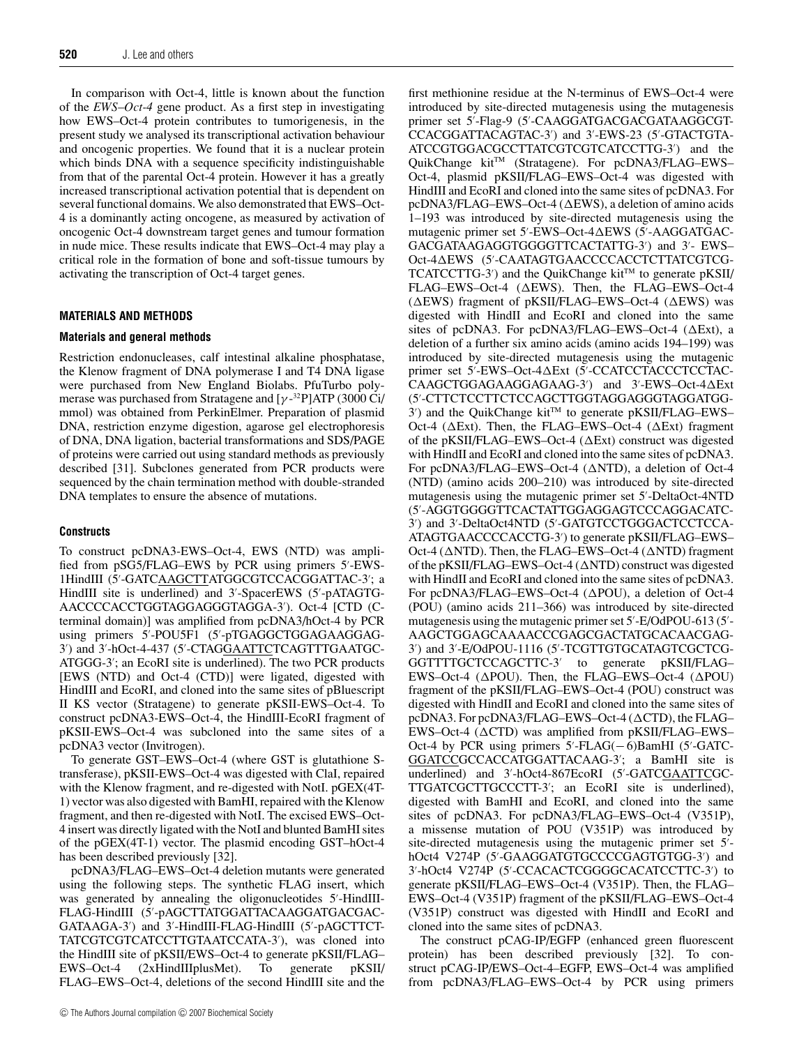In comparison with Oct-4, little is known about the function of the *EWS*–*Oct-4* gene product. As a first step in investigating how EWS–Oct-4 protein contributes to tumorigenesis, in the present study we analysed its transcriptional activation behaviour and oncogenic properties. We found that it is a nuclear protein which binds DNA with a sequence specificity indistinguishable from that of the parental Oct-4 protein. However it has a greatly increased transcriptional activation potential that is dependent on several functional domains. We also demonstrated that EWS–Oct-4 is a dominantly acting oncogene, as measured by activation of oncogenic Oct-4 downstream target genes and tumour formation in nude mice. These results indicate that EWS–Oct-4 may play a critical role in the formation of bone and soft-tissue tumours by activating the transcription of Oct-4 target genes.

#### **MATERIALS AND METHODS**

#### **Materials and general methods**

Restriction endonucleases, calf intestinal alkaline phosphatase, the Klenow fragment of DNA polymerase I and T4 DNA ligase were purchased from New England Biolabs. PfuTurbo polymerase was purchased from Stratagene and [γ-<sup>32</sup>P]ATP (3000 Ci/ mmol) was obtained from PerkinElmer. Preparation of plasmid DNA, restriction enzyme digestion, agarose gel electrophoresis of DNA, DNA ligation, bacterial transformations and SDS/PAGE of proteins were carried out using standard methods as previously described [31]. Subclones generated from PCR products were sequenced by the chain termination method with double-stranded DNA templates to ensure the absence of mutations.

#### **Constructs**

To construct pcDNA3-EWS–Oct-4, EWS (NTD) was amplified from pSG5/FLAG–EWS by PCR using primers 5'-EWS-1HindIII (5'-GATCAAGCTTATGGCGTCCACGGATTAC-3'; a HindIII site is underlined) and 3 -SpacerEWS (5 -pATAGTG-AACCCCACCTGGTAGGAGGGTAGGA-3 ). Oct-4 [CTD (Cterminal domain)] was amplified from pcDNA3/hOct-4 by PCR using primers 5 -POU5F1 (5 -pTGAGGCTGGAGAAGGAG-3') and 3'-hOct-4-437 (5'-CTAGGAATTCTCAGTTTGAATGC-ATGGG-3 ; an EcoRI site is underlined). The two PCR products [EWS (NTD) and Oct-4 (CTD)] were ligated, digested with HindIII and EcoRI, and cloned into the same sites of pBluescript II KS vector (Stratagene) to generate pKSII-EWS–Oct-4. To construct pcDNA3-EWS–Oct-4, the HindIII-EcoRI fragment of pKSII-EWS–Oct-4 was subcloned into the same sites of a pcDNA3 vector (Invitrogen).

To generate GST–EWS–Oct-4 (where GST is glutathione Stransferase), pKSII-EWS–Oct-4 was digested with ClaI, repaired with the Klenow fragment, and re-digested with NotI. pGEX(4T-1) vector was also digested with BamHI, repaired with the Klenow fragment, and then re-digested with NotI. The excised EWS–Oct-4 insert was directly ligated with the NotI and blunted BamHI sites of the pGEX(4T-1) vector. The plasmid encoding GST–hOct-4 has been described previously [32].

pcDNA3/FLAG–EWS–Oct-4 deletion mutants were generated using the following steps. The synthetic FLAG insert, which was generated by annealing the oligonucleotides 5 -HindIII-FLAG-HindIII (5 -pAGCTTATGGATTACAAGGATGACGAC-GATAAGA-3 ) and 3 -HindIII-FLAG-HindIII (5 -pAGCTTCT-TATCGTCGTCATCCTTGTAATCCATA-3 ), was cloned into the HindIII site of pKSII/EWS–Oct-4 to generate pKSII/FLAG– EWS–Oct-4 (2xHindIIIplusMet). To generate pKSII/ FLAG–EWS–Oct-4, deletions of the second HindIII site and the

first methionine residue at the N-terminus of EWS–Oct-4 were introduced by site-directed mutagenesis using the mutagenesis primer set 5 -Flag-9 (5 -CAAGGATGACGACGATAAGGCGT-CCACGGATTACAGTAC-3 ) and 3 -EWS-23 (5 -GTACTGTA-ATCCGTGGACGCCTTATCGTCGTCATCCTTG-3 ) and the QuikChange kit<sup>TM</sup> (Stratagene). For pcDNA3/FLAG–EWS– Oct-4, plasmid pKSII/FLAG–EWS–Oct-4 was digested with HindIII and EcoRI and cloned into the same sites of pcDNA3. For  $pcDNA3/FLAG-EWS-Oct-4 (AEWS)$ , a deletion of amino acids 1–193 was introduced by site-directed mutagenesis using the mutagenic primer set 5'-EWS-Oct-4∆EWS (5'-AAGGATGAC-GACGATAAGAGGTGGGGTTCACTATTG-3 ) and 3 - EWS– Oct-4 $\Delta$ EWS (5'-CAATAGTGAACCCCACCTCTTATCGTCG-TCATCCTTG-3′) and the QuikChange kit™ to generate pKSII/ FLAG–EWS–Oct-4 ( $\Delta$ EWS). Then, the FLAG–EWS–Oct-4 ( $\triangle EWS$ ) fragment of pKSII/FLAG–EWS–Oct-4 ( $\triangle EWS$ ) was digested with HindII and EcoRI and cloned into the same sites of pcDNA3. For pcDNA3/FLAG–EWS–Oct-4 ( $\Delta$ Ext), a deletion of a further six amino acids (amino acids 194–199) was introduced by site-directed mutagenesis using the mutagenic primer set 5'-EWS--Oct-4 $\Delta$ Ext (5'-CCATCCTACCCTCCTAC-CAAGCTGGAGAAGGAGAAG-3') and 3'-EWS-Oct-4 $\Delta$ Ext (5 -CTTCTCCTTCTCCAGCTTGGTAGGAGGGTAGGATGG- $3'$ ) and the QuikChange kit<sup>TM</sup> to generate pKSII/FLAG-EWS-Oct-4 ( $\Delta$ Ext). Then, the FLAG–EWS–Oct-4 ( $\Delta$ Ext) fragment of the pKSII/FLAG–EWS–Oct-4 ( $\Delta$ Ext) construct was digested with HindII and EcoRI and cloned into the same sites of pcDNA3. For pcDNA3/FLAG–EWS–Oct-4 ( $\triangle NTD$ ), a deletion of Oct-4 (NTD) (amino acids 200–210) was introduced by site-directed mutagenesis using the mutagenic primer set 5 -DeltaOct-4NTD (5 -AGGTGGGGTTCACTATTGGAGGAGTCCCAGGACATC-3 ) and 3 -DeltaOct4NTD (5 -GATGTCCTGGGACTCCTCCA-ATAGTGAACCCCACCTG-3 ) to generate pKSII/FLAG–EWS– Oct-4 ( $\triangle NTD$ ). Then, the FLAG–EWS–Oct-4 ( $\triangle NTD$ ) fragment of the pKSII/FLAG–EWS–Oct-4  $(\triangle NTD)$  construct was digested with HindII and EcoRI and cloned into the same sites of pcDNA3. For pcDNA3/FLAG–EWS–Oct-4 ( $\Delta$ POU), a deletion of Oct-4 (POU) (amino acids 211–366) was introduced by site-directed mutagenesis using the mutagenic primer set 5'-E/OdPOU-613 (5'-AAGCTGGAGCAAAACCCGAGCGACTATGCACAACGAG-3 ) and 3 -E/OdPOU-1116 (5 -TCGTTGTGCATAGTCGCTCG-GGTTTTGCTCCAGCTTC-3 to generate pKSII/FLAG– EWS–Oct-4 ( $\Delta$ POU). Then, the FLAG–EWS–Oct-4 ( $\Delta$ POU) fragment of the pKSII/FLAG–EWS–Oct-4 (POU) construct was digested with HindII and EcoRI and cloned into the same sites of pcDNA3. For pcDNA3/FLAG–EWS–Oct-4 ( $\Delta$ CTD), the FLAG– EWS–Oct-4 ( $\triangle CTD$ ) was amplified from pKSII/FLAG–EWS– Oct-4 by PCR using primers  $5'$ -FLAG(−6)BamHI ( $5'$ -GATC-GGATCCGCCACCATGGATTACAAG-3 ; a BamHI site is underlined) and 3'-hOct4-867EcoRI (5'-GATCGAATTCGC-TTGATCGCTTGCCCTT-3 ; an EcoRI site is underlined), digested with BamHI and EcoRI, and cloned into the same sites of pcDNA3. For pcDNA3/FLAG–EWS–Oct-4 (V351P), a missense mutation of POU (V351P) was introduced by site-directed mutagenesis using the mutagenic primer set 5 hOct4 V274P (5 -GAAGGATGTGCCCCGAGTGTGG-3 ) and 3 -hOct4 V274P (5 -CCACACTCGGGGCACATCCTTC-3 ) to generate pKSII/FLAG–EWS–Oct-4 (V351P). Then, the FLAG– EWS–Oct-4 (V351P) fragment of the pKSII/FLAG–EWS–Oct-4 (V351P) construct was digested with HindII and EcoRI and cloned into the same sites of pcDNA3.

The construct pCAG-IP/EGFP (enhanced green fluorescent protein) has been described previously [32]. To construct pCAG-IP/EWS–Oct-4–EGFP, EWS–Oct-4 was amplified from pcDNA3/FLAG–EWS–Oct-4 by PCR using primers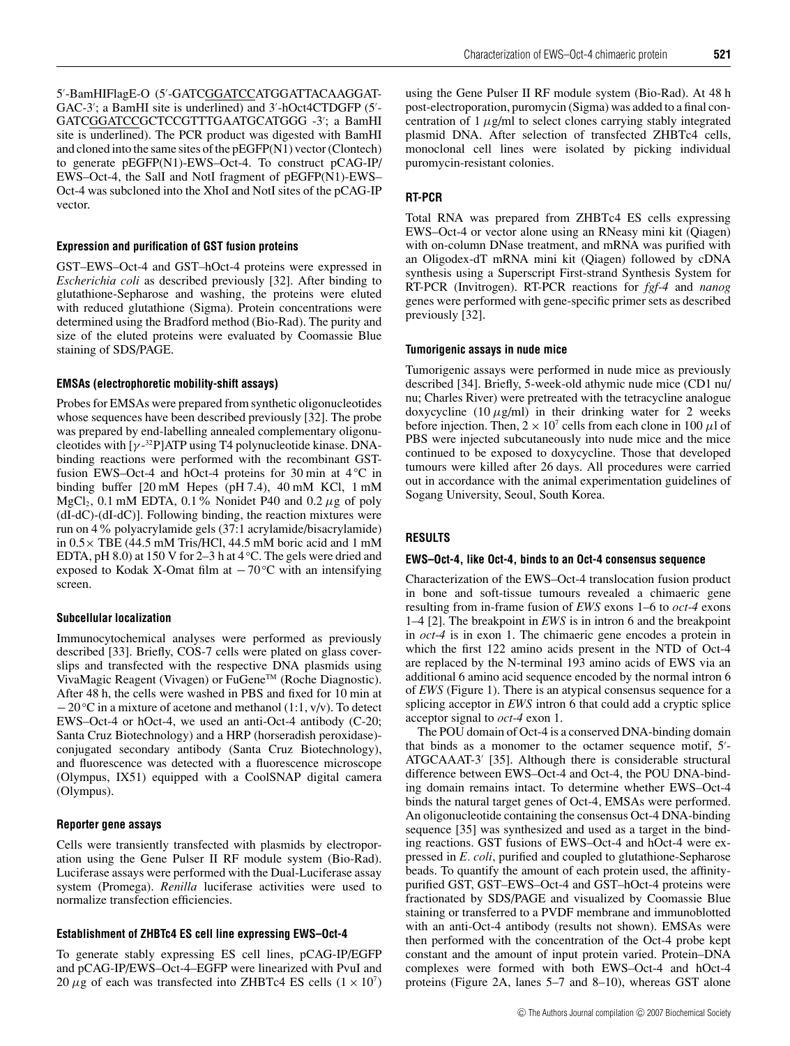5'-BamHIFlagE-O (5'-GATC<u>GGATCC</u>ATGGATTACAAGGAT-GAC-3'; a BamHI site is underlined) and 3'-hOct4CTDGFP (5'-GATCGGATCCGCTCCGTTTGAATGCATGGG -3 ; a BamHI site is underlined). The PCR product was digested with BamHI and cloned into the same sites of the pEGFP(N1) vector (Clontech) to generate pEGFP(N1)-EWS–Oct-4. To construct pCAG-IP/ EWS–Oct-4, the SalI and NotI fragment of pEGFP(N1)-EWS– Oct-4 was subcloned into the XhoI and NotI sites of the pCAG-IP vector.

## **Expression and purification of GST fusion proteins**

GST–EWS–Oct-4 and GST–hOct-4 proteins were expressed in *Escherichia coli* as described previously [32]. After binding to glutathione-Sepharose and washing, the proteins were eluted with reduced glutathione (Sigma). Protein concentrations were determined using the Bradford method (Bio-Rad). The purity and size of the eluted proteins were evaluated by Coomassie Blue staining of SDS/PAGE.

## **EMSAs (electrophoretic mobility-shift assays)**

Probes for EMSAs were prepared from synthetic oligonucleotides whose sequences have been described previously [32]. The probe was prepared by end-labelling annealed complementary oligonucleotides with  $[\gamma^{-32}P]ATP$  using T4 polynucleotide kinase. DNAbinding reactions were performed with the recombinant GSTfusion EWS–Oct-4 and hOct-4 proteins for 30 min at 4 *◦*C in binding buffer [20 mM Hepes (pH 7.4), 40 mM KCl, 1 mM MgCl<sub>2</sub>, 0.1 mM EDTA, 0.1% Nonidet P40 and 0.2  $\mu$ g of poly (dI-dC)-(dI-dC)]. Following binding, the reaction mixtures were run on 4% polyacrylamide gels (37:1 acrylamide/bisacrylamide) in 0.5× TBE (44.5 mM Tris/HCl, 44.5 mM boric acid and 1 mM EDTA, pH 8.0) at 150 V for 2–3 h at 4 *◦*C. The gels were dried and exposed to Kodak X-Omat film at −70 *◦*C with an intensifying screen.

#### **Subcellular localization**

Immunocytochemical analyses were performed as previously described [33]. Briefly, COS-7 cells were plated on glass coverslips and transfected with the respective DNA plasmids using VivaMagic Reagent (Vivagen) or FuGeneTM (Roche Diagnostic). After 48 h, the cells were washed in PBS and fixed for 10 min at −20 *◦*C in a mixture of acetone and methanol (1:1, v/v). To detect EWS–Oct-4 or hOct-4, we used an anti-Oct-4 antibody (C-20; Santa Cruz Biotechnology) and a HRP (horseradish peroxidase) conjugated secondary antibody (Santa Cruz Biotechnology), and fluorescence was detected with a fluorescence microscope (Olympus, IX51) equipped with a CoolSNAP digital camera (Olympus).

## **Reporter gene assays**

Cells were transiently transfected with plasmids by electroporation using the Gene Pulser II RF module system (Bio-Rad). Luciferase assays were performed with the Dual-Luciferase assay system (Promega). *Renilla* luciferase activities were used to normalize transfection efficiencies.

## **Establishment of ZHBTc4 ES cell line expressing EWS–Oct-4**

To generate stably expressing ES cell lines, pCAG-IP/EGFP and pCAG-IP/EWS–Oct-4–EGFP were linearized with PvuI and 20  $\mu$ g of each was transfected into ZHBTc4 ES cells  $(1 \times 10^7)$ 

using the Gene Pulser II RF module system (Bio-Rad). At 48 h post-electroporation, puromycin (Sigma) was added to a final concentration of  $1 \mu g/ml$  to select clones carrying stably integrated plasmid DNA. After selection of transfected ZHBTc4 cells, monoclonal cell lines were isolated by picking individual puromycin-resistant colonies.

#### **RT-PCR**

Total RNA was prepared from ZHBTc4 ES cells expressing EWS–Oct-4 or vector alone using an RNeasy mini kit (Qiagen) with on-column DNase treatment, and mRNA was purified with an Oligodex-dT mRNA mini kit (Qiagen) followed by cDNA synthesis using a Superscript First-strand Synthesis System for RT-PCR (Invitrogen). RT-PCR reactions for *fgf-4* and *nanog* genes were performed with gene-specific primer sets as described previously [32].

#### **Tumorigenic assays in nude mice**

Tumorigenic assays were performed in nude mice as previously described [34]. Briefly, 5-week-old athymic nude mice (CD1 nu/ nu; Charles River) were pretreated with the tetracycline analogue doxycycline (10  $\mu$ g/ml) in their drinking water for 2 weeks before injection. Then,  $2 \times 10^7$  cells from each clone in 100  $\mu$ l of PBS were injected subcutaneously into nude mice and the mice continued to be exposed to doxycycline. Those that developed tumours were killed after 26 days. All procedures were carried out in accordance with the animal experimentation guidelines of Sogang University, Seoul, South Korea.

## **RESULTS**

## **EWS–Oct-4, like Oct-4, binds to an Oct-4 consensus sequence**

Characterization of the EWS–Oct-4 translocation fusion product in bone and soft-tissue tumours revealed a chimaeric gene resulting from in-frame fusion of *EWS* exons 1–6 to *oct-4* exons 1–4 [2]. The breakpoint in *EWS* is in intron 6 and the breakpoint in *oct-4* is in exon 1. The chimaeric gene encodes a protein in which the first 122 amino acids present in the NTD of Oct-4 are replaced by the N-terminal 193 amino acids of EWS via an additional 6 amino acid sequence encoded by the normal intron 6 of *EWS* (Figure 1). There is an atypical consensus sequence for a splicing acceptor in *EWS* intron 6 that could add a cryptic splice acceptor signal to *oct-4* exon 1.

The POU domain of Oct-4 is a conserved DNA-binding domain that binds as a monomer to the octamer sequence motif, 5 - ATGCAAAT-3' [35]. Although there is considerable structural difference between EWS–Oct-4 and Oct-4, the POU DNA-binding domain remains intact. To determine whether EWS–Oct-4 binds the natural target genes of Oct-4, EMSAs were performed. An oligonucleotide containing the consensus Oct-4 DNA-binding sequence [35] was synthesized and used as a target in the binding reactions. GST fusions of EWS–Oct-4 and hOct-4 were expressed in *E. coli*, purified and coupled to glutathione-Sepharose beads. To quantify the amount of each protein used, the affinitypurified GST, GST–EWS–Oct-4 and GST–hOct-4 proteins were fractionated by SDS/PAGE and visualized by Coomassie Blue staining or transferred to a PVDF membrane and immunoblotted with an anti-Oct-4 antibody (results not shown). EMSAs were then performed with the concentration of the Oct-4 probe kept constant and the amount of input protein varied. Protein–DNA complexes were formed with both EWS–Oct-4 and hOct-4 proteins (Figure 2A, lanes 5–7 and 8–10), whereas GST alone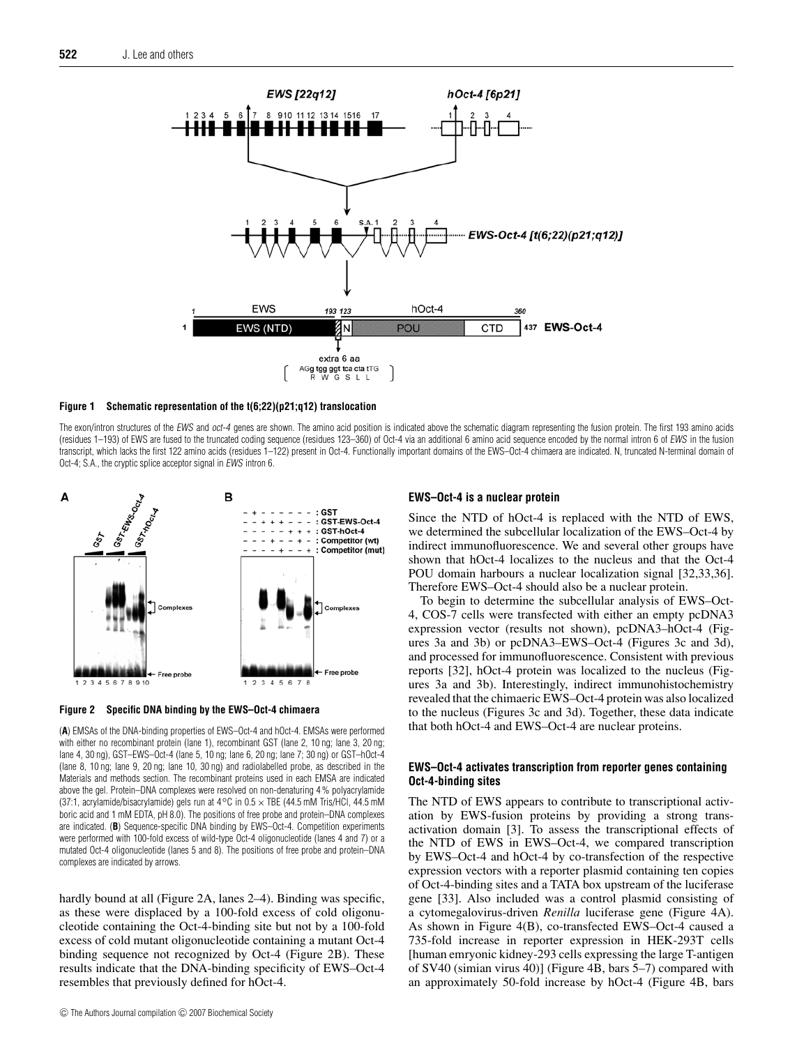

#### **Figure 1 Schematic representation of the t(6;22)(p21;q12) translocation**

The exon/intron structures of the EWS and oct-4 genes are shown. The amino acid position is indicated above the schematic diagram representing the fusion protein. The first 193 amino acids (residues 1–193) of EWS are fused to the truncated coding sequence (residues 123–360) of Oct-4 via an additional 6 amino acid sequence encoded by the normal intron 6 of EWS in the fusion transcript, which lacks the first 122 amino acids (residues 1–122) present in Oct-4. Functionally important domains of the EWS–Oct-4 chimaera are indicated. N, truncated N-terminal domain of Oct-4; S.A., the cryptic splice acceptor signal in EWS intron 6.



**Figure 2 Specific DNA binding by the EWS–Oct-4 chimaera**

(**A**) EMSAs of the DNA-binding properties of EWS–Oct-4 and hOct-4. EMSAs were performed with either no recombinant protein (lane 1), recombinant GST (lane 2, 10 ng; lane 3, 20 ng; lane 4, 30 ng), GST–EWS–Oct-4 (lane 5, 10 ng; lane 6, 20 ng; lane 7; 30 ng) or GST–hOct-4 (lane 8, 10 ng; lane 9, 20 ng; lane 10, 30 ng) and radiolabelled probe, as described in the Materials and methods section. The recombinant proteins used in each EMSA are indicated above the gel. Protein–DNA complexes were resolved on non-denaturing 4 % polyacrylamide (37:1, acrylamide/bisacrylamide) gels run at 4*◦*C in 0.5 × TBE (44.5 mM Tris/HCl, 44.5 mM boric acid and 1 mM EDTA, pH 8.0). The positions of free probe and protein–DNA complexes are indicated. (**B**) Sequence-specific DNA binding by EWS–Oct-4. Competition experiments were performed with 100-fold excess of wild-type Oct-4 oligonucleotide (lanes 4 and 7) or a mutated Oct-4 oligonucleotide (lanes 5 and 8). The positions of free probe and protein–DNA complexes are indicated by arrows.

hardly bound at all (Figure 2A, lanes 2–4). Binding was specific, as these were displaced by a 100-fold excess of cold oligonucleotide containing the Oct-4-binding site but not by a 100-fold excess of cold mutant oligonucleotide containing a mutant Oct-4 binding sequence not recognized by Oct-4 (Figure 2B). These results indicate that the DNA-binding specificity of EWS–Oct-4 resembles that previously defined for hOct-4.

#### **EWS–Oct-4 is a nuclear protein**

Since the NTD of hOct-4 is replaced with the NTD of EWS, we determined the subcellular localization of the EWS–Oct-4 by indirect immunofluorescence. We and several other groups have shown that hOct-4 localizes to the nucleus and that the Oct-4 POU domain harbours a nuclear localization signal [32,33,36]. Therefore EWS–Oct-4 should also be a nuclear protein.

To begin to determine the subcellular analysis of EWS–Oct-4, COS-7 cells were transfected with either an empty pcDNA3 expression vector (results not shown), pcDNA3–hOct-4 (Figures 3a and 3b) or pcDNA3–EWS–Oct-4 (Figures 3c and 3d), and processed for immunofluorescence. Consistent with previous reports [32], hOct-4 protein was localized to the nucleus (Figures 3a and 3b). Interestingly, indirect immunohistochemistry revealed that the chimaeric EWS–Oct-4 protein was also localized to the nucleus (Figures 3c and 3d). Together, these data indicate that both hOct-4 and EWS–Oct-4 are nuclear proteins.

## **EWS–Oct-4 activates transcription from reporter genes containing Oct-4-binding sites**

The NTD of EWS appears to contribute to transcriptional activation by EWS-fusion proteins by providing a strong transactivation domain [3]. To assess the transcriptional effects of the NTD of EWS in EWS–Oct-4, we compared transcription by EWS–Oct-4 and hOct-4 by co-transfection of the respective expression vectors with a reporter plasmid containing ten copies of Oct-4-binding sites and a TATA box upstream of the luciferase gene [33]. Also included was a control plasmid consisting of a cytomegalovirus-driven *Renilla* luciferase gene (Figure 4A). As shown in Figure 4(B), co-transfected EWS–Oct-4 caused a 735-fold increase in reporter expression in HEK-293T cells [human emryonic kidney-293 cells expressing the large T-antigen of SV40 (simian virus 40)] (Figure 4B, bars 5–7) compared with an approximately 50-fold increase by hOct-4 (Figure 4B, bars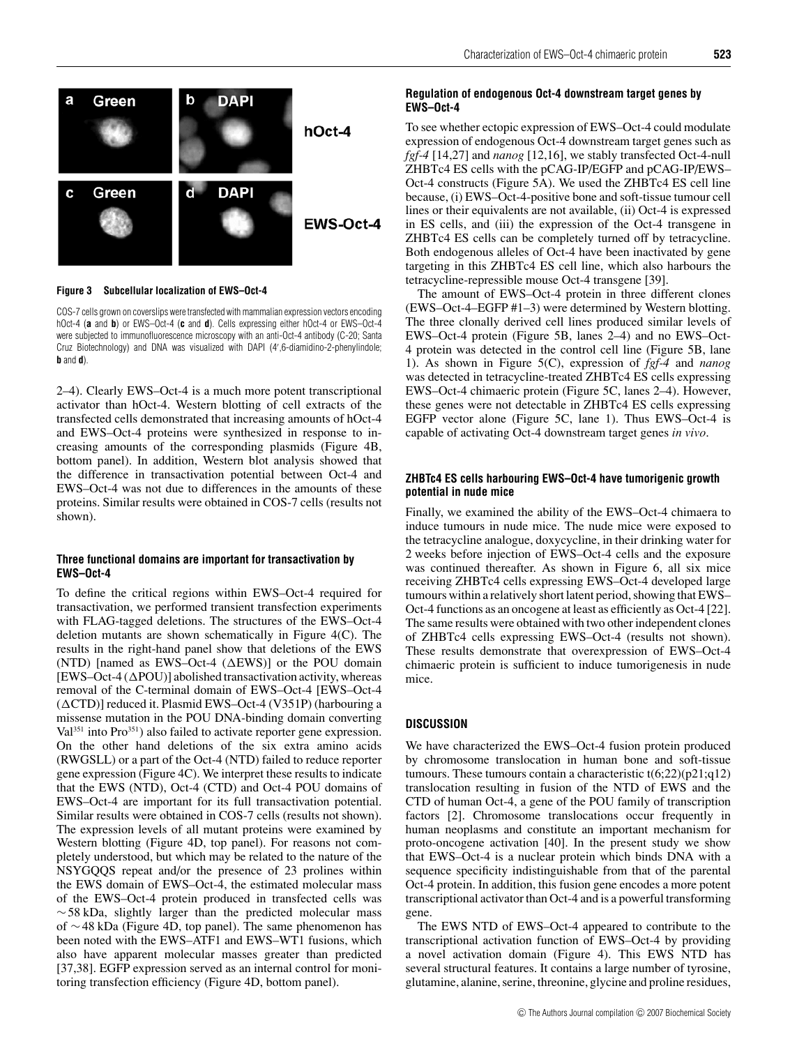

**Figure 3 Subcellular localization of EWS–Oct-4**

COS-7 cells grown on coverslips were transfected with mammalian expression vectors encoding hOct-4 (**a** and **b**) or EWS–Oct-4 (**c** and **d**). Cells expressing either hOct-4 or EWS–Oct-4 were subjected to immunofluorescence microscopy with an anti-Oct-4 antibody (C-20; Santa Cruz Biotechnology) and DNA was visualized with DAPI (4 ,6-diamidino-2-phenylindole; **b** and **d**).

2–4). Clearly EWS–Oct-4 is a much more potent transcriptional activator than hOct-4. Western blotting of cell extracts of the transfected cells demonstrated that increasing amounts of hOct-4 and EWS–Oct-4 proteins were synthesized in response to increasing amounts of the corresponding plasmids (Figure 4B, bottom panel). In addition, Western blot analysis showed that the difference in transactivation potential between Oct-4 and EWS–Oct-4 was not due to differences in the amounts of these proteins. Similar results were obtained in COS-7 cells (results not shown).

#### **Three functional domains are important for transactivation by EWS–Oct-4**

To define the critical regions within EWS–Oct-4 required for transactivation, we performed transient transfection experiments with FLAG-tagged deletions. The structures of the EWS–Oct-4 deletion mutants are shown schematically in Figure 4(C). The results in the right-hand panel show that deletions of the EWS (NTD) [named as EWS–Oct-4  $(\Delta$ EWS)] or the POU domain  $[EWS-Oct-4 (APOU)]$  abolished transactivation activity, whereas removal of the C-terminal domain of EWS–Oct-4 [EWS–Oct-4  $(\Delta \text{CTD})$ ] reduced it. Plasmid EWS–Oct-4 (V351P) (harbouring a missense mutation in the POU DNA-binding domain converting Val<sup>351</sup> into Pro<sup>351</sup>) also failed to activate reporter gene expression. On the other hand deletions of the six extra amino acids (RWGSLL) or a part of the Oct-4 (NTD) failed to reduce reporter gene expression (Figure 4C). We interpret these results to indicate that the EWS (NTD), Oct-4 (CTD) and Oct-4 POU domains of EWS–Oct-4 are important for its full transactivation potential. Similar results were obtained in COS-7 cells (results not shown). The expression levels of all mutant proteins were examined by Western blotting (Figure 4D, top panel). For reasons not completely understood, but which may be related to the nature of the NSYGQQS repeat and/or the presence of 23 prolines within the EWS domain of EWS–Oct-4, the estimated molecular mass of the EWS–Oct-4 protein produced in transfected cells was  $~\sim$  58 kDa, slightly larger than the predicted molecular mass of ∼48 kDa (Figure 4D, top panel). The same phenomenon has been noted with the EWS–ATF1 and EWS–WT1 fusions, which also have apparent molecular masses greater than predicted [37,38]. EGFP expression served as an internal control for monitoring transfection efficiency (Figure 4D, bottom panel).

## **Regulation of endogenous Oct-4 downstream target genes by EWS–Oct-4**

To see whether ectopic expression of EWS–Oct-4 could modulate expression of endogenous Oct-4 downstream target genes such as *fgf-4* [14,27] and *nanog* [12,16], we stably transfected Oct-4-null ZHBTc4 ES cells with the pCAG-IP/EGFP and pCAG-IP/EWS– Oct-4 constructs (Figure 5A). We used the ZHBTc4 ES cell line because, (i) EWS–Oct-4-positive bone and soft-tissue tumour cell lines or their equivalents are not available, (ii) Oct-4 is expressed in ES cells, and (iii) the expression of the Oct-4 transgene in ZHBTc4 ES cells can be completely turned off by tetracycline. Both endogenous alleles of Oct-4 have been inactivated by gene targeting in this ZHBTc4 ES cell line, which also harbours the tetracycline-repressible mouse Oct-4 transgene [39].

The amount of EWS–Oct-4 protein in three different clones (EWS–Oct-4–EGFP #1–3) were determined by Western blotting. The three clonally derived cell lines produced similar levels of EWS–Oct-4 protein (Figure 5B, lanes 2–4) and no EWS–Oct-4 protein was detected in the control cell line (Figure 5B, lane 1). As shown in Figure 5(C), expression of *fgf-4* and *nanog* was detected in tetracycline-treated ZHBTc4 ES cells expressing EWS–Oct-4 chimaeric protein (Figure 5C, lanes 2–4). However, these genes were not detectable in ZHBTc4 ES cells expressing EGFP vector alone (Figure 5C, lane 1). Thus EWS–Oct-4 is capable of activating Oct-4 downstream target genes *in vivo*.

## **ZHBTc4 ES cells harbouring EWS–Oct-4 have tumorigenic growth potential in nude mice**

Finally, we examined the ability of the EWS–Oct-4 chimaera to induce tumours in nude mice. The nude mice were exposed to the tetracycline analogue, doxycycline, in their drinking water for 2 weeks before injection of EWS–Oct-4 cells and the exposure was continued thereafter. As shown in Figure 6, all six mice receiving ZHBTc4 cells expressing EWS–Oct-4 developed large tumours within a relatively short latent period, showing that EWS– Oct-4 functions as an oncogene at least as efficiently as Oct-4 [22]. The same results were obtained with two other independent clones of ZHBTc4 cells expressing EWS–Oct-4 (results not shown). These results demonstrate that overexpression of EWS–Oct-4 chimaeric protein is sufficient to induce tumorigenesis in nude mice.

## **DISCUSSION**

We have characterized the EWS–Oct-4 fusion protein produced by chromosome translocation in human bone and soft-tissue tumours. These tumours contain a characteristic  $t(6;22)(p21;q12)$ translocation resulting in fusion of the NTD of EWS and the CTD of human Oct-4, a gene of the POU family of transcription factors [2]. Chromosome translocations occur frequently in human neoplasms and constitute an important mechanism for proto-oncogene activation [40]. In the present study we show that EWS–Oct-4 is a nuclear protein which binds DNA with a sequence specificity indistinguishable from that of the parental Oct-4 protein. In addition, this fusion gene encodes a more potent transcriptional activator than Oct-4 and is a powerful transforming gene.

The EWS NTD of EWS–Oct-4 appeared to contribute to the transcriptional activation function of EWS–Oct-4 by providing a novel activation domain (Figure 4). This EWS NTD has several structural features. It contains a large number of tyrosine, glutamine, alanine, serine, threonine, glycine and proline residues,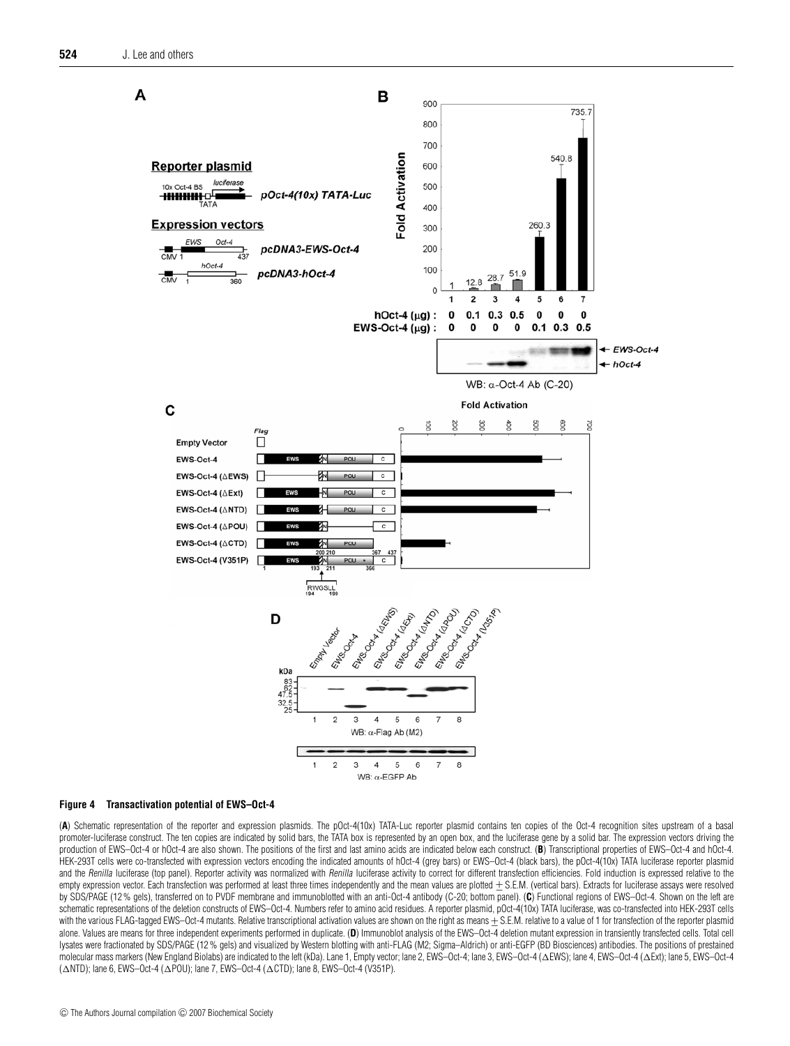

#### **Figure 4 Transactivation potential of EWS–Oct-4**

(A) Schematic representation of the reporter and expression plasmids. The pOct-4(10x) TATA-Luc reporter plasmid contains ten copies of the Oct-4 recognition sites upstream of a basal promoter-luciferase construct. The ten copies are indicated by solid bars, the TATA box is represented by an open box, and the luciferase gene by a solid bar. The expression vectors driving the production of EWS–Oct-4 or hOct-4 are also shown. The positions of the first and last amino acids are indicated below each construct. (**B**) Transcriptional properties of EWS–Oct-4 and hOct-4. HEK-293T cells were co-transfected with expression vectors encoding the indicated amounts of hOct-4 (grey bars) or EWS–Oct-4 (black bars), the pOct-4(10x) TATA luciferase reporter plasmid and the Renilla luciferase (top panel). Reporter activity was normalized with Renilla luciferase activity to correct for different transfection efficiencies. Fold induction is expressed relative to the empty expression vector. Each transfection was performed at least three times independently and the mean values are plotted ± S.E.M. (vertical bars). Extracts for luciferase assays were resolved by SDS/PAGE (12 % gels), transferred on to PVDF membrane and immunoblotted with an anti-Oct-4 antibody (C-20; bottom panel). (**C**) Functional regions of EWS–Oct-4. Shown on the left are schematic representations of the deletion constructs of EWS-Oct-4. Numbers refer to amino acid residues. A reporter plasmid, pOct-4(10x) TATA luciferase, was co-transfected into HEK-293T cells with the various FLAG-tagged EWS–Oct-4 mutants. Relative transcriptional activation values are shown on the right as means  $\pm$  S.E.M. relative to a value of 1 for transfection of the reporter plasmid alone. Values are means for three independent experiments performed in duplicate. (D) Immunoblot analysis of the EWS-Oct-4 deletion mutant expression in transiently transfected cells. Total cell lysates were fractionated by SDS/PAGE (12% gels) and visualized by Western blotting with anti-FLAG (M2; Sigma-Aldrich) or anti-EGFP (BD Biosciences) antibodies. The positions of prestained molecular mass markers (New England Biolabs) are indicated to the left (kDa). Lane 1, Empty vector; lane 2, EWS-Oct-4; lane 3, EWS-Oct-4 ( $\Delta$ EWS); lane 4, EWS–Oct-4 ( $\Delta$ Ext); lane 5, EWS–Oct-4  $(\triangle NTD)$ ; lane 6, EWS–Oct-4  $(\triangle POU)$ ; lane 7, EWS–Oct-4  $(\triangle CTD)$ ; lane 8, EWS–Oct-4 (V351P).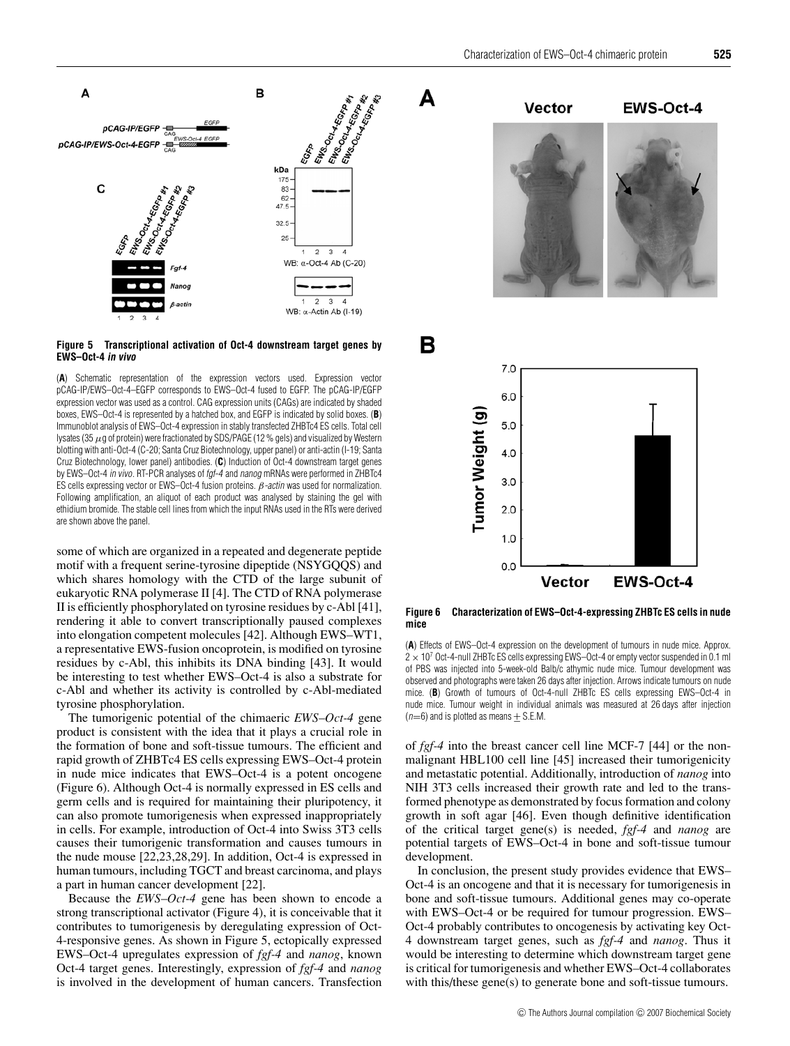A



**Figure 5 Transcriptional activation of Oct-4 downstream target genes by EWS–Oct-4 in vivo**

(**A**) Schematic representation of the expression vectors used. Expression vector pCAG-IP/EWS–Oct-4–EGFP corresponds to EWS–Oct-4 fused to EGFP. The pCAG-IP/EGFP expression vector was used as a control. CAG expression units (CAGs) are indicated by shaded boxes, EWS–Oct-4 is represented by a hatched box, and EGFP is indicated by solid boxes. (**B**) Immunoblot analysis of EWS–Oct-4 expression in stably transfected ZHBTc4 ES cells. Total cell lysates (35  $\mu$ g of protein) were fractionated by SDS/PAGE (12 % gels) and visualized by Western blotting with anti-Oct-4 (C-20; Santa Cruz Biotechnology, upper panel) or anti-actin (I-19; Santa Cruz Biotechnology, lower panel) antibodies. (**C**) Induction of Oct-4 downstream target genes by EWS-Oct-4 in vivo. RT-PCR analyses of fgf-4 and nanog mRNAs were performed in ZHBTc4 ES cells expressing vector or EWS–Oct-4 fusion proteins.  $\beta$ -actin was used for normalization. Following amplification, an aliquot of each product was analysed by staining the gel with ethidium bromide. The stable cell lines from which the input RNAs used in the RTs were derived are shown above the panel.

some of which are organized in a repeated and degenerate peptide motif with a frequent serine-tyrosine dipeptide (NSYGQQS) and which shares homology with the CTD of the large subunit of eukaryotic RNA polymerase II [4]. The CTD of RNA polymerase II is efficiently phosphorylated on tyrosine residues by c-Abl [41], rendering it able to convert transcriptionally paused complexes into elongation competent molecules [42]. Although EWS–WT1, a representative EWS-fusion oncoprotein, is modified on tyrosine residues by c-Abl, this inhibits its DNA binding [43]. It would be interesting to test whether EWS–Oct-4 is also a substrate for c-Abl and whether its activity is controlled by c-Abl-mediated tyrosine phosphorylation.

The tumorigenic potential of the chimaeric *EWS*–*Oct-4* gene product is consistent with the idea that it plays a crucial role in the formation of bone and soft-tissue tumours. The efficient and rapid growth of ZHBTc4 ES cells expressing EWS–Oct-4 protein in nude mice indicates that EWS–Oct-4 is a potent oncogene (Figure 6). Although Oct-4 is normally expressed in ES cells and germ cells and is required for maintaining their pluripotency, it can also promote tumorigenesis when expressed inappropriately in cells. For example, introduction of Oct-4 into Swiss 3T3 cells causes their tumorigenic transformation and causes tumours in the nude mouse [22,23,28,29]. In addition, Oct-4 is expressed in human tumours, including TGCT and breast carcinoma, and plays a part in human cancer development [22].

Because the *EWS*–*Oct-4* gene has been shown to encode a strong transcriptional activator (Figure 4), it is conceivable that it contributes to tumorigenesis by deregulating expression of Oct-4-responsive genes. As shown in Figure 5, ectopically expressed EWS–Oct-4 upregulates expression of *fgf-4* and *nanog*, known Oct-4 target genes. Interestingly, expression of *fgf-4* and *nanog* is involved in the development of human cancers. Transfection



**Figure 6 Characterization of EWS–Oct-4-expressing ZHBTc ES cells in nude mice**

(**A**) Effects of EWS–Oct-4 expression on the development of tumours in nude mice. Approx.  $2 \times 10^7$  Oct-4-null ZHBTc ES cells expressing EWS-Oct-4 or empty vector suspended in 0.1 ml of PBS was injected into 5-week-old Balb/c athymic nude mice. Tumour development was observed and photographs were taken 26 days after injection. Arrows indicate tumours on nude mice. (**B**) Growth of tumours of Oct-4-null ZHBTc ES cells expressing EWS–Oct-4 in nude mice. Tumour weight in individual animals was measured at 26 days after injection  $(n=6)$  and is plotted as means  $\pm$  S.E.M.

of *fgf-4* into the breast cancer cell line MCF-7 [44] or the nonmalignant HBL100 cell line [45] increased their tumorigenicity and metastatic potential. Additionally, introduction of *nanog* into NIH 3T3 cells increased their growth rate and led to the transformed phenotype as demonstrated by focus formation and colony growth in soft agar [46]. Even though definitive identification of the critical target gene(s) is needed, *fgf-4* and *nanog* are potential targets of EWS–Oct-4 in bone and soft-tissue tumour development.

In conclusion, the present study provides evidence that EWS– Oct-4 is an oncogene and that it is necessary for tumorigenesis in bone and soft-tissue tumours. Additional genes may co-operate with EWS–Oct-4 or be required for tumour progression. EWS– Oct-4 probably contributes to oncogenesis by activating key Oct-4 downstream target genes, such as *fgf-4* and *nanog*. Thus it would be interesting to determine which downstream target gene is critical for tumorigenesis and whether EWS–Oct-4 collaborates with this/these gene(s) to generate bone and soft-tissue tumours.